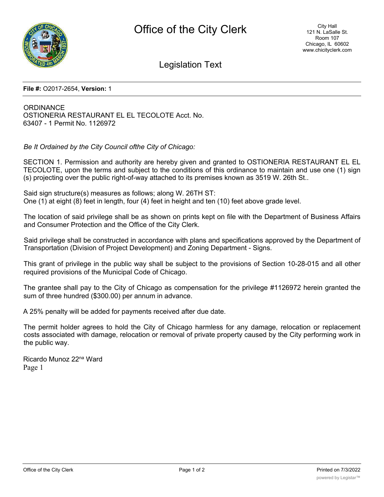

Legislation Text

## **File #:** O2017-2654, **Version:** 1

**ORDINANCE** OSTIONERIA RESTAURANT EL EL TECOLOTE Acct. No. 63407 - 1 Permit No. 1126972

*Be It Ordained by the City Council ofthe City of Chicago:*

SECTION 1. Permission and authority are hereby given and granted to OSTIONERIA RESTAURANT EL EL TECOLOTE, upon the terms and subject to the conditions of this ordinance to maintain and use one (1) sign (s) projecting over the public right-of-way attached to its premises known as 3519 W. 26th St..

Said sign structure(s) measures as follows; along W. 26TH ST: One (1) at eight (8) feet in length, four (4) feet in height and ten (10) feet above grade level.

The location of said privilege shall be as shown on prints kept on file with the Department of Business Affairs and Consumer Protection and the Office of the City Clerk.

Said privilege shall be constructed in accordance with plans and specifications approved by the Department of Transportation (Division of Project Development) and Zoning Department - Signs.

This grant of privilege in the public way shall be subject to the provisions of Section 10-28-015 and all other required provisions of the Municipal Code of Chicago.

The grantee shall pay to the City of Chicago as compensation for the privilege #1126972 herein granted the sum of three hundred (\$300.00) per annum in advance.

A 25% penalty will be added for payments received after due date.

The permit holder agrees to hold the City of Chicago harmless for any damage, relocation or replacement costs associated with damage, relocation or removal of private property caused by the City performing work in the public way.

Ricardo Munoz 22na Ward Page 1